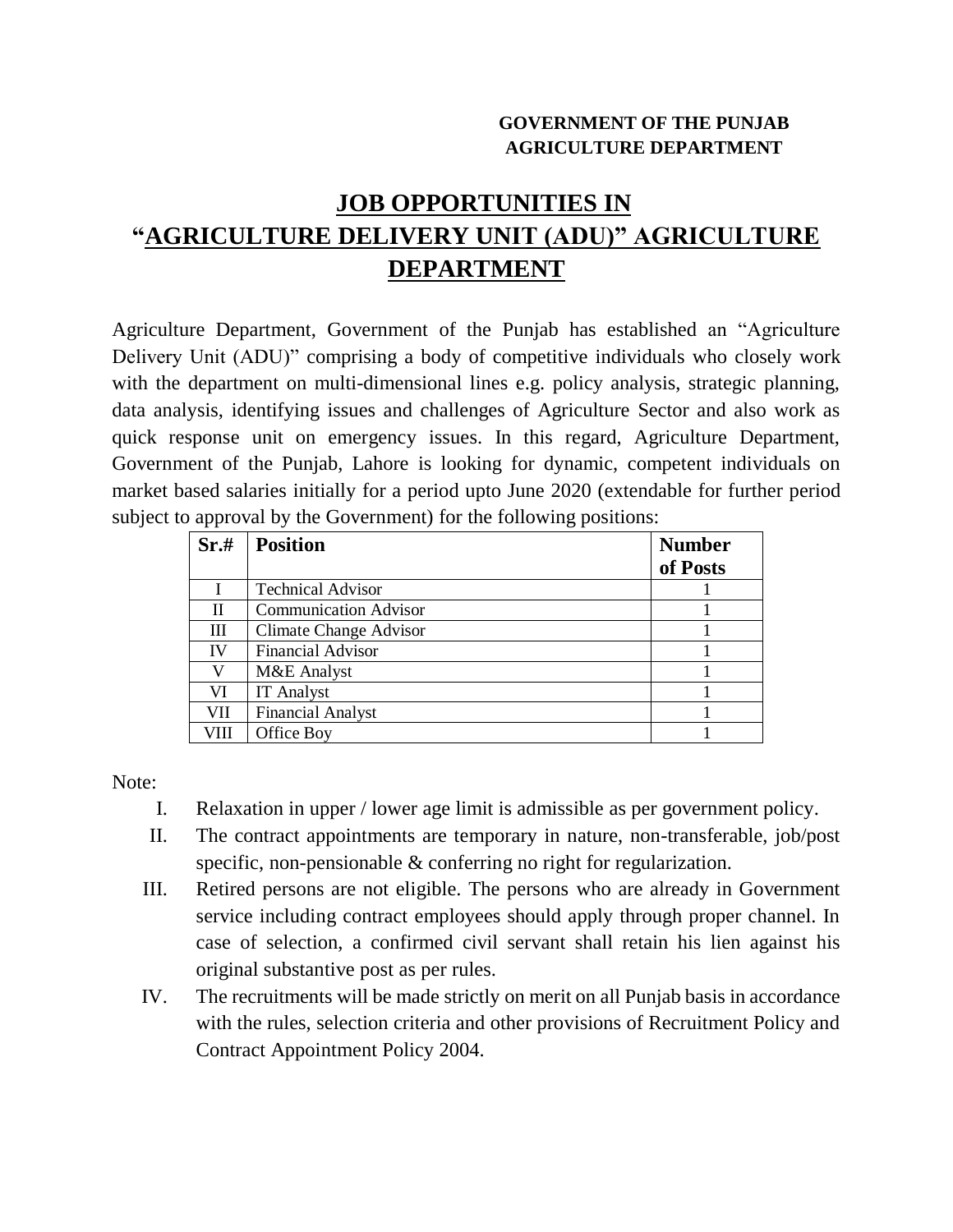## **GOVERNMENT OF THE PUNJAB AGRICULTURE DEPARTMENT**

## **JOB OPPORTUNITIES IN "AGRICULTURE DELIVERY UNIT (ADU)" AGRICULTURE DEPARTMENT**

Agriculture Department, Government of the Punjab has established an "Agriculture Delivery Unit (ADU)" comprising a body of competitive individuals who closely work with the department on multi-dimensional lines e.g. policy analysis, strategic planning, data analysis, identifying issues and challenges of Agriculture Sector and also work as quick response unit on emergency issues. In this regard, Agriculture Department, Government of the Punjab, Lahore is looking for dynamic, competent individuals on market based salaries initially for a period upto June 2020 (extendable for further period subject to approval by the Government) for the following positions:

| Sr.# | <b>Position</b>               | <b>Number</b><br>of Posts |
|------|-------------------------------|---------------------------|
|      | <b>Technical Advisor</b>      |                           |
| П    | <b>Communication Advisor</b>  |                           |
| Ш    | <b>Climate Change Advisor</b> |                           |
| IV   | <b>Financial Advisor</b>      |                           |
| V    | M&E Analyst                   |                           |
| VI   | <b>IT</b> Analyst             |                           |
| VII  | <b>Financial Analyst</b>      |                           |
| VIII | Office Boy                    |                           |

Note:

- I. Relaxation in upper / lower age limit is admissible as per government policy.
- II. The contract appointments are temporary in nature, non-transferable, job/post specific, non-pensionable & conferring no right for regularization.
- III. Retired persons are not eligible. The persons who are already in Government service including contract employees should apply through proper channel. In case of selection, a confirmed civil servant shall retain his lien against his original substantive post as per rules.
- IV. The recruitments will be made strictly on merit on all Punjab basis in accordance with the rules, selection criteria and other provisions of Recruitment Policy and Contract Appointment Policy 2004.